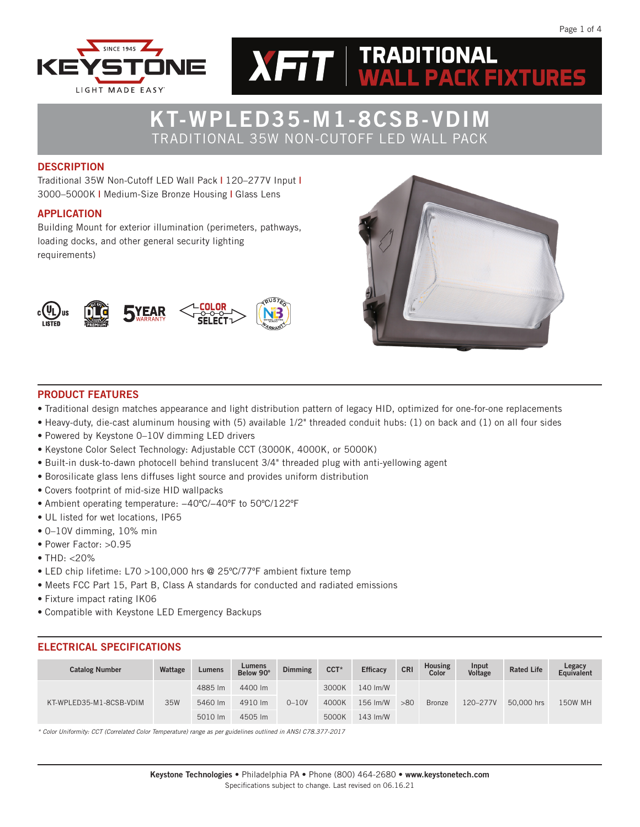



# KT-WPLED35-M1-8CSB-VDIM TRADITIONAL 35W NON-CUTOFF LED WALL PACK

#### **DESCRIPTION**

Traditional 35W Non-Cutoff LED Wall Pack | 120–277V Input | 3000–5000K | Medium-Size Bronze Housing | Glass Lens

### APPLICATION

Building Mount for exterior illumination (perimeters, pathways, loading docks, and other general security lighting requirements)





#### PRODUCT FEATURES

- Traditional design matches appearance and light distribution pattern of legacy HID, optimized for one-for-one replacements
- Heavy-duty, die-cast aluminum housing with (5) available 1/2" threaded conduit hubs: (1) on back and (1) on all four sides
- Powered by Keystone 0–10V dimming LED drivers
- Keystone Color Select Technology: Adjustable CCT (3000K, 4000K, or 5000K)
- Built-in dusk-to-dawn photocell behind translucent 3/4" threaded plug with anti-yellowing agent
- Borosilicate glass lens diffuses light source and provides uniform distribution
- Covers footprint of mid-size HID wallpacks
- Ambient operating temperature: −40ºC/−40ºF to 50ºC/122ºF
- UL listed for wet locations, IP65
- 0–10V dimming, 10% min
- Power Factor: >0.95
- THD: <20%
- LED chip lifetime: L70 >100,000 hrs @ 25ºC/77ºF ambient fixture temp
- Meets FCC Part 15, Part B, Class A standards for conducted and radiated emissions
- Fixture impact rating IK06
- Compatible with Keystone LED Emergency Backups

### ELECTRICAL SPECIFICATIONS

| <b>Catalog Number</b>   | Wattage | Lumens  | Lumens<br>Below 90° | <b>Dimming</b> | $CCT*$ | <b>Efficacy</b>    | <b>CRI</b> | <b>Housing</b><br>Color | Input<br>Voltage | <b>Rated Life</b> | Legacy<br>Equivalent |
|-------------------------|---------|---------|---------------------|----------------|--------|--------------------|------------|-------------------------|------------------|-------------------|----------------------|
|                         |         | 4885 lm | 4400 lm             |                | 3000K  | 140 lm/W           |            |                         |                  |                   |                      |
| KT-WPLED35-M1-8CSB-VDIM | 35W     | 5460 lm | 4910 lm             | $0 - 10V$      | 4000K  | 156 Im/W           | >80        | <b>Bronze</b>           | 120-277V         | 50,000 hrs        | <b>150W MH</b>       |
|                         |         | 5010 lm | 4505 lm             |                | 5000K  | $143 \text{ Im/W}$ |            |                         |                  |                   |                      |

*\* Color Uniformity: CCT (Correlated Color Temperature) range as per guidelines outlined in ANSI C78.377-2017*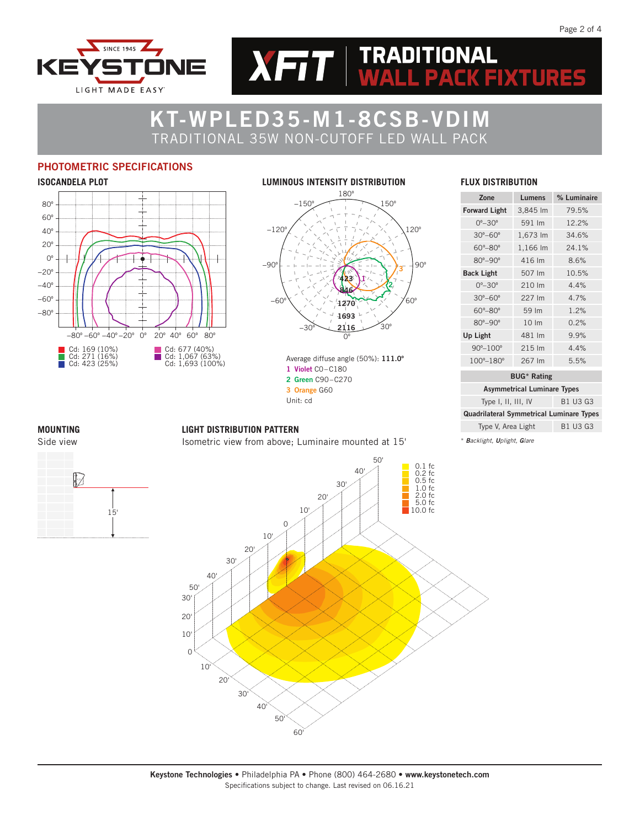



 $XFT$   $\parallel$  TRADITIONAL

## PHOTOMETRIC SPECIFICATIONS



#### **LUMINOUS INTENSITY DISTRIBUTION** 180º −150º −120º 150º 120º −30º −60º −90º 90º ริด 30º  $\overline{0}$ 1 2 3 2116 423 846 1270 1693

Average diffuse angle (50%): 111.0º 1 Violet C0–C180 2 Green C90–C270 3 Orange G60 Unit: cd

#### **FLUX DISTRIBUTION**

**PACK FIXTURES** 

| Zone                       | Lumens             | % Luminaire |
|----------------------------|--------------------|-------------|
| <b>Forward Light</b>       | 3,845 lm           | 79.5%       |
| $0^{\circ} - 30^{\circ}$   | 591 Im             | 12.2%       |
| $30^\circ - 60^\circ$      | 1,673 lm           | 34.6%       |
| $60^\circ - 80^\circ$      | 1,166 lm           | 24.1%       |
| $80^{\circ} - 90^{\circ}$  | 416 lm             | 8.6%        |
| <b>Back Light</b>          | 507 Im             | 10.5%       |
| $0^{\circ} - 30^{\circ}$   | 210 Im             | 4.4%        |
| $30^\circ - 60^\circ$      | 227 Im             | 4.7%        |
| $60^\circ - 80^\circ$      | 59 lm              | 1.2%        |
| $80^{\circ} - 90^{\circ}$  | $10 \, \text{Im}$  | 0.2%        |
| Up Light                   | 481 Im             | 9.9%        |
| $90^{\circ} - 100^{\circ}$ | 215 Im             | 4.4%        |
| 100°-180°                  | 267 Im             | 5.5%        |
|                            | <b>BUG*</b> Rating |             |

| <b>Asymmetrical Luminare Types</b>              |  |
|-------------------------------------------------|--|
| B1 U3 G3<br>Type I, II, III, IV                 |  |
| <b>Quadrilateral Symmetrical Luminare Types</b> |  |
| Type V, Area Light<br>B1 U3 G3                  |  |

\* *Backlight, Uplight, Glare*





#### **LIGHT DISTRIBUTION PATTERN**

Isometric view from above; Luminaire mounted at 15'

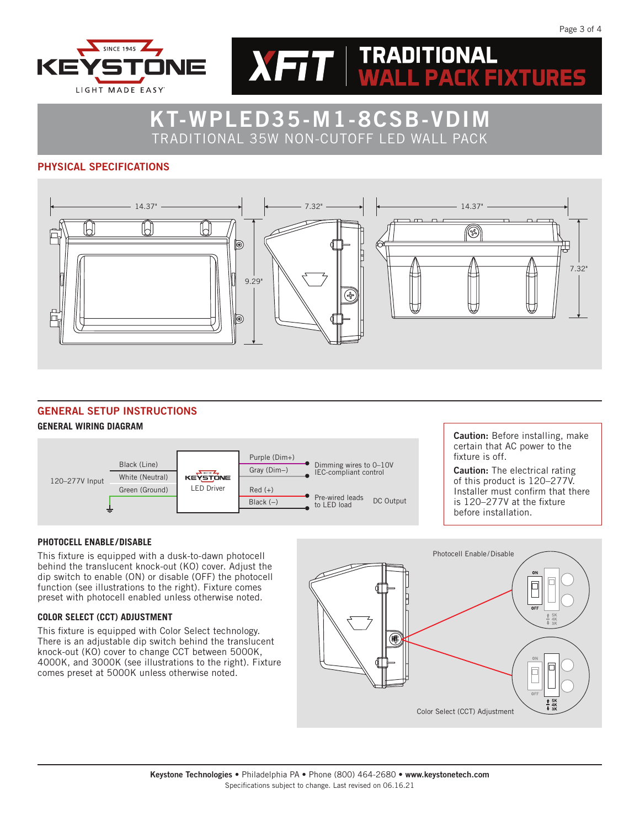



TRADITIONAL 35W NON-CUTOFF LED WALL PACK

### PHYSICAL SPECIFICATIONS



### GENERAL SETUP INSTRUCTIONS

#### **GENERAL WIRING DIAGRAM**



Caution: Before installing, make certain that AC power to the fixture is off.

Caution: The electrical rating of this product is 120–277V. Installer must confirm that there is 120–277V at the fixture before installation.

#### **PHOTOCELL ENABLE/DISABLE**

This fixture is equipped with a dusk-to-dawn photocell behind the translucent knock-out (KO) cover. Adjust the dip switch to enable (ON) or disable (OFF) the photocell function (see illustrations to the right). Fixture comes preset with photocell enabled unless otherwise noted.

#### **COLOR SELECT (CCT) ADJUSTMENT**

This fixture is equipped with Color Select technology. There is an adjustable dip switch behind the translucent knock-out (KO) cover to change CCT between 5000K, 4000K, and 3000K (see illustrations to the right). Fixture comes preset at 5000K unless otherwise noted.